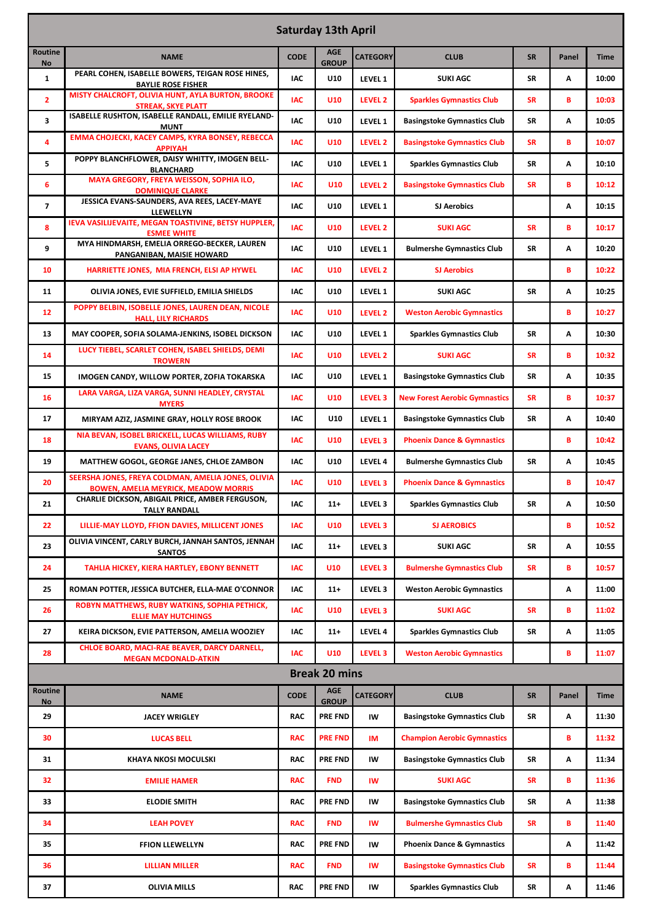| <b>Saturday 13th April</b> |                                                                                                   |             |                            |                    |                                       |            |       |             |  |
|----------------------------|---------------------------------------------------------------------------------------------------|-------------|----------------------------|--------------------|---------------------------------------|------------|-------|-------------|--|
| Routine<br>No              | <b>NAME</b>                                                                                       | <b>CODE</b> | <b>AGE</b><br><b>GROUP</b> | <b>CATEGORY</b>    | <b>CLUB</b>                           | <b>SR</b>  | Panel | <b>Time</b> |  |
| $\mathbf{1}$               | PEARL COHEN, ISABELLE BOWERS, TEIGAN ROSE HINES,<br><b>BAYLIE ROSE FISHER</b>                     | IAC         | U10                        | LEVEL 1            | <b>SUKI AGC</b>                       | <b>SR</b>  | А     | 10:00       |  |
| $\overline{2}$             | MISTY CHALCROFT, OLIVIA HUNT, AYLA BURTON, BROOKE<br><b>STREAK, SKYE PLATT</b>                    | IAC         | U10                        | LEVEL 2            | <b>Sparkles Gymnastics Club</b>       | <b>SR</b>  | в     | 10:03       |  |
| 3                          | ISABELLE RUSHTON, ISABELLE RANDALL, EMILIE RYELAND-<br><b>MUNT</b>                                | IAC         | U10                        | LEVEL 1            | <b>Basingstoke Gymnastics Club</b>    | SR         | А     | 10:05       |  |
| 4                          | EMMA CHOJECKI, KACEY CAMPS, KYRA BONSEY, REBECCA<br><b>APPIYAH</b>                                | IAC         | U10                        | LEVEL 2            | <b>Basingstoke Gymnastics Club</b>    | <b>SR</b>  | В     | 10:07       |  |
| 5                          | POPPY BLANCHFLOWER, DAISY WHITTY, IMOGEN BELL-<br><b>BLANCHARD</b>                                | IAC         | U10                        | LEVEL 1            | <b>Sparkles Gymnastics Club</b>       | SR         | Α     | 10:10       |  |
| 6                          | MAYA GREGORY, FREYA WEISSON, SOPHIA ILO,<br><b>DOMINIQUE CLARKE</b>                               | IAC         | U10                        | LEVEL 2            | <b>Basingstoke Gymnastics Club</b>    | <b>SR</b>  | в     | 10:12       |  |
| $\overline{\phantom{a}}$   | JESSICA EVANS-SAUNDERS, AVA REES, LACEY-MAYE<br>LLEWELLYN                                         | IAC         | U10                        | <b>LEVEL 1</b>     | <b>SJ Aerobics</b>                    |            | А     | 10:15       |  |
| 8                          | IEVA VASILIJEVAITE, MEGAN TOASTIVINE, BETSY HUPPLER,<br><b>ESMEE WHITE</b>                        | IAC         | U10                        | LEVEL 2            | <b>SUKI AGC</b>                       | <b>SR</b>  | в     | 10:17       |  |
| 9                          | MYA HINDMARSH, EMELIA ORREGO-BECKER, LAUREN<br>PANGANIBAN, MAISIE HOWARD                          | IAC         | U10                        | LEVEL 1            | <b>Bulmershe Gymnastics Club</b>      | <b>SR</b>  | Α     | 10:20       |  |
| 10                         | HARRIETTE JONES, MIA FRENCH, ELSI AP HYWEL                                                        | <b>IAC</b>  | U10                        | LEVEL 2            | <b>SJ Aerobics</b>                    |            | в     | 10:22       |  |
| 11                         | OLIVIA JONES, EVIE SUFFIELD, EMILIA SHIELDS                                                       | IAC.        | U10                        | LEVEL 1            | <b>SUKI AGC</b>                       | SR         | А     | 10:25       |  |
| 12                         | POPPY BELBIN, ISOBELLE JONES, LAUREN DEAN, NICOLE<br><b>HALL, LILY RICHARDS</b>                   | <b>IAC</b>  | U10                        | <b>LEVEL 2</b>     | <b>Weston Aerobic Gymnastics</b>      |            | В     | 10:27       |  |
| 13                         | MAY COOPER, SOFIA SOLAMA-JENKINS, ISOBEL DICKSON                                                  | IAC         | U10                        | LEVEL 1            | <b>Sparkles Gymnastics Club</b>       | <b>SR</b>  | А     | 10:30       |  |
| 14                         | LUCY TIEBEL, SCARLET COHEN, ISABEL SHIELDS, DEMI<br><b>TROWERN</b>                                | <b>IAC</b>  | U10                        | LEVEL 2            | <b>SUKI AGC</b>                       | <b>SR</b>  | В     | 10:32       |  |
| 15                         | IMOGEN CANDY, WILLOW PORTER, ZOFIA TOKARSKA                                                       | IAC         | U10                        | LEVEL 1            | <b>Basingstoke Gymnastics Club</b>    | <b>SR</b>  | А     | 10:35       |  |
| 16                         | LARA VARGA, LIZA VARGA, SUNNI HEADLEY, CRYSTAL<br><b>MYERS</b>                                    | IAC         | U10                        | <b>LEVEL 3</b>     | <b>New Forest Aerobic Gymnastics</b>  | <b>SR</b>  | В     | 10:37       |  |
| 17                         | MIRYAM AZIZ, JASMINE GRAY, HOLLY ROSE BROOK                                                       | IAC         | U10                        | LEVEL 1            | <b>Basingstoke Gymnastics Club</b>    | <b>SR</b>  | Α     | 10:40       |  |
| 18                         | NIA BEVAN, ISOBEL BRICKELL, LUCAS WILLIAMS, RUBY<br><b>EVANS, OLIVIA LACEY</b>                    | <b>IAC</b>  | U10                        | LEVEL <sub>3</sub> | <b>Phoenix Dance &amp; Gymnastics</b> |            | в     | 10:42       |  |
| 19                         | MATTHEW GOGOL, GEORGE JANES, CHLOE ZAMBON                                                         | IAC.        | U10                        | LEVEL 4            | <b>Bulmershe Gymnastics Club</b>      | <b>SR</b>  | А     | 10:45       |  |
| 20                         | SEERSHA JONES, FREYA COLDMAN, AMELIA JONES, OLIVIA<br><b>BOWEN, AMELIA MEYRICK, MEADOW MORRIS</b> | IAC         | U10                        | <b>LEVEL 3</b>     | <b>Phoenix Dance &amp; Gymnastics</b> |            | В     | 10:47       |  |
| 21                         | CHARLIE DICKSON, ABIGAIL PRICE, AMBER FERGUSON,<br><b>TALLY RANDALL</b>                           | <b>IAC</b>  | $11+$                      | LEVEL 3            | <b>Sparkles Gymnastics Club</b>       | ${\sf SR}$ | А     | 10:50       |  |
| 22                         | LILLIE-MAY LLOYD, FFION DAVIES, MILLICENT JONES                                                   | IAC.        | U10                        | LEVEL 3            | <b>SJ AEROBICS</b>                    |            | В     | 10:52       |  |
| 23                         | OLIVIA VINCENT, CARLY BURCH, JANNAH SANTOS, JENNAH<br><b>SANTOS</b>                               | IAC.        | $11+$                      | LEVEL 3            | <b>SUKI AGC</b>                       | SR         | Α     | 10:55       |  |
| 24                         | TAHLIA HICKEY, KIERA HARTLEY, EBONY BENNETT                                                       | IAC.        | U10                        | <b>LEVEL 3</b>     | <b>Bulmershe Gymnastics Club</b>      | <b>SR</b>  | в     | 10:57       |  |
| 25                         | ROMAN POTTER, JESSICA BUTCHER, ELLA-MAE O'CONNOR                                                  | IAC.        | $11+$                      | LEVEL 3            | <b>Weston Aerobic Gymnastics</b>      |            | Α     | 11:00       |  |
| 26                         | ROBYN MATTHEWS, RUBY WATKINS, SOPHIA PETHICK,<br><b>ELLIE MAY HUTCHINGS</b>                       | IAC.        | U10                        | <b>LEVEL 3</b>     | <b>SUKI AGC</b>                       | <b>SR</b>  | В     | 11:02       |  |
| 27                         | KEIRA DICKSON, EVIE PATTERSON, AMELIA WOOZIEY                                                     | IAC         | $11+$                      | LEVEL 4            | <b>Sparkles Gymnastics Club</b>       | SR         | Α     | 11:05       |  |
| 28                         | <b>CHLOE BOARD, MACI-RAE BEAVER, DARCY DARNELL,</b><br><b>MEGAN MCDONALD-ATKIN</b>                | IAC.        | U10                        | LEVEL 3            | <b>Weston Aerobic Gymnastics</b>      |            | В     | 11:07       |  |
|                            |                                                                                                   |             | <b>Break 20 mins</b>       |                    |                                       |            |       |             |  |
| Routine<br>No              | <b>NAME</b>                                                                                       | <b>CODE</b> | <b>AGE</b><br><b>GROUP</b> | <b>CATEGORY</b>    | <b>CLUB</b>                           | <b>SR</b>  | Panel | <b>Time</b> |  |
| 29                         | <b>JACEY WRIGLEY</b>                                                                              | <b>RAC</b>  | <b>PRE FND</b>             | IW                 | <b>Basingstoke Gymnastics Club</b>    | SR         | Α     | 11:30       |  |
| 30                         | <b>LUCAS BELL</b>                                                                                 | <b>RAC</b>  | <b>PRE FND</b>             | IM                 | <b>Champion Aerobic Gymnastics</b>    |            | В     | 11:32       |  |
| 31                         | <b>KHAYA NKOSI MOCULSKI</b>                                                                       | <b>RAC</b>  | <b>PRE FND</b>             | IW                 | <b>Basingstoke Gymnastics Club</b>    | SR         | Α     | 11:34       |  |
| 32                         | <b>EMILIE HAMER</b>                                                                               | <b>RAC</b>  | <b>FND</b>                 | IW                 | <b>SUKI AGC</b>                       | <b>SR</b>  | в     | 11:36       |  |
| 33                         | <b>ELODIE SMITH</b>                                                                               | <b>RAC</b>  | <b>PRE FND</b>             | IW                 | <b>Basingstoke Gymnastics Club</b>    | SR         | Α     | 11:38       |  |
| 34                         | <b>LEAH POVEY</b>                                                                                 | <b>RAC</b>  | <b>FND</b>                 | IW                 | <b>Bulmershe Gymnastics Club</b>      | <b>SR</b>  | В     | 11:40       |  |
| 35                         | <b>FFION LLEWELLYN</b>                                                                            | <b>RAC</b>  | <b>PRE FND</b>             | IW                 | <b>Phoenix Dance &amp; Gymnastics</b> |            | Α     | 11:42       |  |
| 36                         | <b>LILLIAN MILLER</b>                                                                             | <b>RAC</b>  | <b>FND</b>                 | IW                 | <b>Basingstoke Gymnastics Club</b>    | <b>SR</b>  | в     | 11:44       |  |
| 37                         | <b>OLIVIA MILLS</b>                                                                               | <b>RAC</b>  | <b>PRE FND</b>             | IW                 | <b>Sparkles Gymnastics Club</b>       | SR         | Α     | 11:46       |  |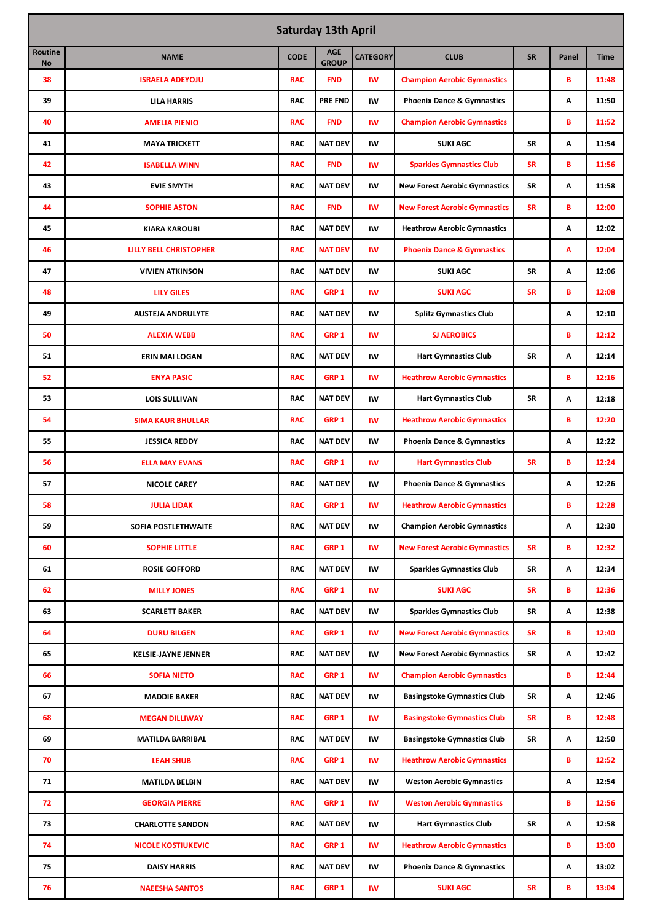| <b>Saturday 13th April</b> |                            |             |                            |                        |                                       |           |       |             |  |  |
|----------------------------|----------------------------|-------------|----------------------------|------------------------|---------------------------------------|-----------|-------|-------------|--|--|
| Routine<br>No              | <b>NAME</b>                | <b>CODE</b> | <b>AGE</b><br><b>GROUP</b> | <b>CATEGORY</b>        | <b>CLUB</b>                           | <b>SR</b> | Panel | <b>Time</b> |  |  |
| 38                         | <b>ISRAELA ADEYOJU</b>     | <b>RAC</b>  | <b>FND</b>                 | IW                     | <b>Champion Aerobic Gymnastics</b>    |           | в     | 11:48       |  |  |
| 39                         | <b>LILA HARRIS</b>         | <b>RAC</b>  | PRE FND                    | IW                     | <b>Phoenix Dance &amp; Gymnastics</b> |           | Α     | 11:50       |  |  |
| 40                         | <b>AMELIA PIENIO</b>       | <b>RAC</b>  | <b>FND</b>                 | IW                     | <b>Champion Aerobic Gymnastics</b>    |           | B     | 11:52       |  |  |
| 41                         | <b>MAYA TRICKETT</b>       | <b>RAC</b>  | <b>NAT DEV</b>             | IW                     | <b>SUKI AGC</b>                       | <b>SR</b> | Α     | 11:54       |  |  |
| 42                         | <b>ISABELLA WINN</b>       | <b>RAC</b>  | <b>FND</b>                 | IW                     | <b>Sparkles Gymnastics Club</b>       | <b>SR</b> | в     | 11:56       |  |  |
| 43                         | <b>EVIE SMYTH</b>          | <b>RAC</b>  | <b>NAT DEV</b>             | IW                     | <b>New Forest Aerobic Gymnastics</b>  | <b>SR</b> | Α     | 11:58       |  |  |
| 44                         | <b>SOPHIE ASTON</b>        | <b>RAC</b>  | <b>FND</b>                 | <b>IW</b>              | <b>New Forest Aerobic Gymnastics</b>  | <b>SR</b> | B     | 12:00       |  |  |
| 45                         | <b>KIARA KAROUBI</b>       | <b>RAC</b>  | <b>NAT DEV</b>             | IW                     | <b>Heathrow Aerobic Gymnastics</b>    |           | Α     | 12:02       |  |  |
| 46                         | LILLY BELL CHRISTOPHER     | <b>RAC</b>  | <b>NAT DEV</b>             | IW                     | <b>Phoenix Dance &amp; Gymnastics</b> |           | Α     | 12:04       |  |  |
| 47                         | <b>VIVIEN ATKINSON</b>     | <b>RAC</b>  | <b>NAT DEV</b>             | IW                     | <b>SUKI AGC</b>                       | <b>SR</b> | Α     | 12:06       |  |  |
| 48                         | <b>LILY GILES</b>          | <b>RAC</b>  | GRP <sub>1</sub>           | <b>IW</b>              | <b>SUKI AGC</b>                       | <b>SR</b> | в     | 12:08       |  |  |
| 49                         | <b>AUSTEJA ANDRULYTE</b>   | <b>RAC</b>  | <b>NAT DEV</b>             | IW                     | <b>Splitz Gymnastics Club</b>         |           | A     | 12:10       |  |  |
| 50                         | <b>ALEXIA WEBB</b>         | <b>RAC</b>  | GRP <sub>1</sub>           | <b>IW</b>              | <b>SJ AEROBICS</b>                    |           | B     | 12:12       |  |  |
| 51                         | <b>ERIN MAI LOGAN</b>      | <b>RAC</b>  | <b>NAT DEV</b>             | IW                     | <b>Hart Gymnastics Club</b>           | <b>SR</b> | Α     | 12:14       |  |  |
| 52                         | <b>ENYA PASIC</b>          | <b>RAC</b>  | GRP <sub>1</sub>           | <b>IW</b>              | <b>Heathrow Aerobic Gymnastics</b>    |           | в     | 12:16       |  |  |
| 53                         | <b>LOIS SULLIVAN</b>       | <b>RAC</b>  | <b>NAT DEV</b>             | IW                     | <b>Hart Gymnastics Club</b>           | <b>SR</b> | Α     | 12:18       |  |  |
| 54                         | <b>SIMA KAUR BHULLAR</b>   | <b>RAC</b>  | GRP <sub>1</sub>           | <b>IW</b>              | <b>Heathrow Aerobic Gymnastics</b>    |           | B     | 12:20       |  |  |
| 55                         | <b>JESSICA REDDY</b>       | <b>RAC</b>  | <b>NAT DEV</b>             | IW                     | <b>Phoenix Dance &amp; Gymnastics</b> |           | Α     | 12:22       |  |  |
| 56                         | <b>ELLA MAY EVANS</b>      | <b>RAC</b>  | GRP <sub>1</sub>           | <b>IW</b>              | <b>Hart Gymnastics Club</b>           | <b>SR</b> | в     | 12:24       |  |  |
| 57                         | <b>NICOLE CAREY</b>        | <b>RAC</b>  | <b>NAT DEV</b>             | IW                     | <b>Phoenix Dance &amp; Gymnastics</b> |           | Α     | 12:26       |  |  |
| 58                         | <b>JULIA LIDAK</b>         | <b>RAC</b>  | GRP 1                      | IW                     | <b>Heathrow Aerobic Gymnastics</b>    |           | в     | 12:28       |  |  |
| 59                         | SOFIA POSTLETHWAITE        | <b>RAC</b>  | <b>NAT DEV</b>             | IW                     | <b>Champion Aerobic Gymnastics</b>    |           | Α     | 12:30       |  |  |
| 60                         | <b>SOPHIE LITTLE</b>       | <b>RAC</b>  | GRP <sub>1</sub>           | IW                     | <b>New Forest Aerobic Gymnastics</b>  | <b>SR</b> | В     | 12:32       |  |  |
| 61                         | <b>ROSIE GOFFORD</b>       | <b>RAC</b>  | <b>NAT DEV</b>             | IW                     | <b>Sparkles Gymnastics Club</b>       | <b>SR</b> | Α     | 12:34       |  |  |
| 62                         | <b>MILLY JONES</b>         | <b>RAC</b>  | GRP 1                      | IW                     | <b>SUKI AGC</b>                       | <b>SR</b> | В     | 12:36       |  |  |
| 63                         | <b>SCARLETT BAKER</b>      | <b>RAC</b>  | <b>NAT DEV</b>             | IW                     | <b>Sparkles Gymnastics Club</b>       | SR        | Α     | 12:38       |  |  |
| 64                         | <b>DURU BILGEN</b>         | <b>RAC</b>  | GRP 1                      | IW                     | <b>New Forest Aerobic Gymnastics</b>  | <b>SR</b> | B     | 12:40       |  |  |
| 65                         | <b>KELSIE-JAYNE JENNER</b> | <b>RAC</b>  | <b>NAT DEV</b>             | IW                     | <b>New Forest Aerobic Gymnastics</b>  | SR        | Α     | 12:42       |  |  |
| 66                         | <b>SOFIA NIETO</b>         | <b>RAC</b>  | GRP 1                      | IW                     | <b>Champion Aerobic Gymnastics</b>    |           | В     | 12:44       |  |  |
| 67                         | <b>MADDIE BAKER</b>        | <b>RAC</b>  | <b>NAT DEV</b>             | IW                     | <b>Basingstoke Gymnastics Club</b>    | SR        | Α     | 12:46       |  |  |
| 68                         | <b>MEGAN DILLIWAY</b>      | <b>RAC</b>  | GRP 1                      | IW                     | <b>Basingstoke Gymnastics Club</b>    | <b>SR</b> | В     | 12:48       |  |  |
| 69                         | <b>MATILDA BARRIBAL</b>    | <b>RAC</b>  | <b>NAT DEV</b>             | IW                     | <b>Basingstoke Gymnastics Club</b>    | SR        | Α     | 12:50       |  |  |
| 70                         | <b>LEAH SHUB</b>           | <b>RAC</b>  | GRP <sub>1</sub>           | IW                     | <b>Heathrow Aerobic Gymnastics</b>    |           | В     | 12:52       |  |  |
| 71                         | <b>MATILDA BELBIN</b>      | <b>RAC</b>  | <b>NAT DEV</b>             | IW                     | <b>Weston Aerobic Gymnastics</b>      |           | Α     | 12:54       |  |  |
| 72                         | <b>GEORGIA PIERRE</b>      | <b>RAC</b>  | GRP 1                      | IW                     | <b>Weston Aerobic Gymnastics</b>      |           | В     | 12:56       |  |  |
| 73                         | <b>CHARLOTTE SANDON</b>    | <b>RAC</b>  | <b>NAT DEV</b>             | IW                     | <b>Hart Gymnastics Club</b>           | SR        | Α     | 12:58       |  |  |
| 74                         | <b>NICOLE KOSTIUKEVIC</b>  | <b>RAC</b>  | GRP 1                      | IW                     | <b>Heathrow Aerobic Gymnastics</b>    |           | В     | 13:00       |  |  |
| 75                         | <b>DAISY HARRIS</b>        | <b>RAC</b>  | <b>NAT DEV</b>             | IW                     | <b>Phoenix Dance &amp; Gymnastics</b> |           | Α     | 13:02       |  |  |
| 76                         | <b>NAEESHA SANTOS</b>      | <b>RAC</b>  | GRP 1                      | $\mathsf{I}\mathsf{W}$ | <b>SUKI AGC</b>                       | <b>SR</b> | В     | 13:04       |  |  |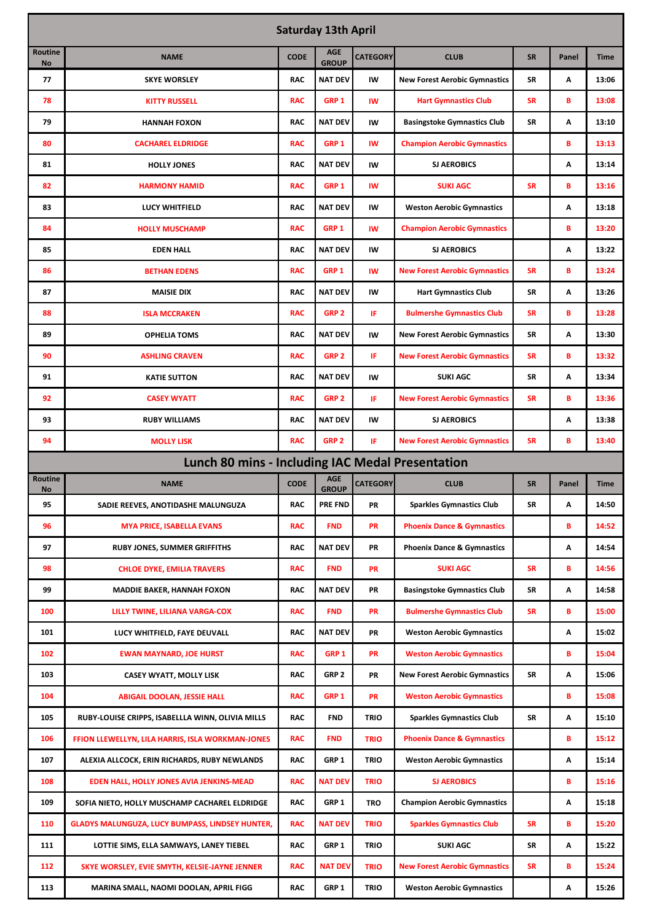| <b>Saturday 13th April</b> |                                                  |             |                            |                 |                                       |           |       |             |  |
|----------------------------|--------------------------------------------------|-------------|----------------------------|-----------------|---------------------------------------|-----------|-------|-------------|--|
| <b>Routine</b><br>No       | <b>NAME</b>                                      | <b>CODE</b> | <b>AGE</b><br><b>GROUP</b> | <b>CATEGORY</b> | <b>CLUB</b>                           | <b>SR</b> | Panel | <b>Time</b> |  |
| 77                         | <b>SKYE WORSLEY</b>                              | <b>RAC</b>  | <b>NAT DEV</b>             | IW              | <b>New Forest Aerobic Gymnastics</b>  | <b>SR</b> | Α     | 13:06       |  |
| 78                         | <b>KITTY RUSSELL</b>                             | <b>RAC</b>  | GRP <sub>1</sub>           | IW              | <b>Hart Gymnastics Club</b>           | <b>SR</b> | в     | 13:08       |  |
| 79                         | <b>HANNAH FOXON</b>                              | <b>RAC</b>  | <b>NAT DEV</b>             | IW              | <b>Basingstoke Gymnastics Club</b>    | SR        | Α     | 13:10       |  |
| 80                         | <b>CACHAREL ELDRIDGE</b>                         | <b>RAC</b>  | GRP <sub>1</sub>           | IW              | <b>Champion Aerobic Gymnastics</b>    |           | в     | 13:13       |  |
| 81                         | <b>HOLLY JONES</b>                               | <b>RAC</b>  | <b>NAT DEV</b>             | IW              | <b>SJ AEROBICS</b>                    |           | Α     | 13:14       |  |
| 82                         | <b>HARMONY HAMID</b>                             | <b>RAC</b>  | GRP <sub>1</sub>           | IW              | <b>SUKI AGC</b>                       | <b>SR</b> | B     | 13:16       |  |
| 83                         | <b>LUCY WHITFIELD</b>                            | <b>RAC</b>  | <b>NAT DEV</b>             | IW              | <b>Weston Aerobic Gymnastics</b>      |           | Α     | 13:18       |  |
| 84                         | <b>HOLLY MUSCHAMP</b>                            | <b>RAC</b>  | GRP <sub>1</sub>           | IW              | <b>Champion Aerobic Gymnastics</b>    |           | В     | 13:20       |  |
| 85                         | <b>EDEN HALL</b>                                 | <b>RAC</b>  | <b>NAT DEV</b>             | IW              | <b>SJ AEROBICS</b>                    |           | Α     | 13:22       |  |
| 86                         | <b>BETHAN EDENS</b>                              | <b>RAC</b>  | GRP <sub>1</sub>           | IW              | <b>New Forest Aerobic Gymnastics</b>  | <b>SR</b> | В     | 13:24       |  |
| 87                         | <b>MAISIE DIX</b>                                | <b>RAC</b>  | <b>NAT DEV</b>             | IW              | <b>Hart Gymnastics Club</b>           | <b>SR</b> | Α     | 13:26       |  |
| 88                         | <b>ISLA MCCRAKEN</b>                             | <b>RAC</b>  | GRP <sub>2</sub>           | IF              | <b>Bulmershe Gymnastics Club</b>      | <b>SR</b> | в     | 13:28       |  |
| 89                         | <b>OPHELIA TOMS</b>                              | <b>RAC</b>  | <b>NAT DEV</b>             | IW              | <b>New Forest Aerobic Gymnastics</b>  | <b>SR</b> | Α     | 13:30       |  |
| 90                         | <b>ASHLING CRAVEN</b>                            | <b>RAC</b>  | GRP <sub>2</sub>           | IF              | <b>New Forest Aerobic Gymnastics</b>  | <b>SR</b> | В     | 13:32       |  |
| 91                         | <b>KATIE SUTTON</b>                              | <b>RAC</b>  | <b>NAT DEV</b>             | IW              | <b>SUKI AGC</b>                       | <b>SR</b> | Α     | 13:34       |  |
| 92                         | <b>CASEY WYATT</b>                               | <b>RAC</b>  | GRP <sub>2</sub>           | IF              | <b>New Forest Aerobic Gymnastics</b>  | <b>SR</b> | В     | 13:36       |  |
| 93                         | <b>RUBY WILLIAMS</b>                             | <b>RAC</b>  | <b>NAT DEV</b>             | IW              | <b>SJ AEROBICS</b>                    |           | А     | 13:38       |  |
| 94                         | <b>MOLLY LISK</b>                                | <b>RAC</b>  | GRP <sub>2</sub>           | IF              | <b>New Forest Aerobic Gymnastics</b>  | <b>SR</b> | В     | 13:40       |  |
|                            | Lunch 80 mins - Including IAC Medal Presentation |             |                            |                 |                                       |           |       |             |  |
| Routine<br>No              | <b>NAME</b>                                      | <b>CODE</b> | <b>AGE</b><br><b>GROUP</b> | <b>CATEGORY</b> | <b>CLUB</b>                           | <b>SR</b> | Panel | <b>Time</b> |  |
| 95                         | SADIE REEVES, ANOTIDASHE MALUNGUZA               | <b>RAC</b>  | <b>PRE FND</b>             | PR              | <b>Sparkles Gymnastics Club</b>       | SR        | Α     | 14:50       |  |
| 96                         | <b>MYA PRICE, ISABELLA EVANS</b>                 | <b>RAC</b>  | <b>FND</b>                 | <b>PR</b>       | <b>Phoenix Dance &amp; Gymnastics</b> |           | В     | 14:52       |  |
| 97                         | <b>RUBY JONES, SUMMER GRIFFITHS</b>              | <b>RAC</b>  | <b>NAT DEV</b>             | PR              | <b>Phoenix Dance &amp; Gymnastics</b> |           | Α     | 14:54       |  |
| 98                         | <b>CHLOE DYKE, EMILIA TRAVERS</b>                | <b>RAC</b>  | <b>FND</b>                 | <b>PR</b>       | <b>SUKI AGC</b>                       | <b>SR</b> | В     | 14:56       |  |
| 99                         | <b>MADDIE BAKER, HANNAH FOXON</b>                | <b>RAC</b>  | <b>NAT DEV</b>             | PR              | <b>Basingstoke Gymnastics Club</b>    | <b>SR</b> | Α     | 14:58       |  |
| 100                        | LILLY TWINE, LILIANA VARGA-COX                   | <b>RAC</b>  | <b>FND</b>                 | <b>PR</b>       | <b>Bulmershe Gymnastics Club</b>      | <b>SR</b> | В     | 15:00       |  |
| 101                        | LUCY WHITFIELD, FAYE DEUVALL                     | <b>RAC</b>  | <b>NAT DEV</b>             | PR              | <b>Weston Aerobic Gymnastics</b>      |           | Α     | 15:02       |  |
| 102                        | <b>EWAN MAYNARD, JOE HURST</b>                   | <b>RAC</b>  | GRP <sub>1</sub>           | <b>PR</b>       | <b>Weston Aerobic Gymnastics</b>      |           | в     | 15:04       |  |
| 103                        | <b>CASEY WYATT, MOLLY LISK</b>                   | <b>RAC</b>  | GRP <sub>2</sub>           | PR              | <b>New Forest Aerobic Gymnastics</b>  | SR        | Α     | 15:06       |  |
| 104                        | <b>ABIGAIL DOOLAN, JESSIE HALL</b>               | <b>RAC</b>  | GRP <sub>1</sub>           | <b>PR</b>       | <b>Weston Aerobic Gymnastics</b>      |           | В     | 15:08       |  |
| 105                        | RUBY-LOUISE CRIPPS, ISABELLLA WINN, OLIVIA MILLS | <b>RAC</b>  | <b>FND</b>                 | <b>TRIO</b>     | <b>Sparkles Gymnastics Club</b>       | <b>SR</b> | Α     | 15:10       |  |
| 106                        | FFION LLEWELLYN, LILA HARRIS, ISLA WORKMAN-JONES | <b>RAC</b>  | <b>FND</b>                 | <b>TRIO</b>     | <b>Phoenix Dance &amp; Gymnastics</b> |           | В     | 15:12       |  |
| 107                        | ALEXIA ALLCOCK, ERIN RICHARDS, RUBY NEWLANDS     | <b>RAC</b>  | GRP 1                      | <b>TRIO</b>     | <b>Weston Aerobic Gymnastics</b>      |           | Α     | 15:14       |  |
| 108                        | EDEN HALL, HOLLY JONES AVIA JENKINS-MEAD         | RAC         | <b>NAT DEV</b>             | <b>TRIO</b>     | <b>SJ AEROBICS</b>                    |           | В     | 15:16       |  |
| 109                        | SOFIA NIETO, HOLLY MUSCHAMP CACHAREL ELDRIDGE    | <b>RAC</b>  | GRP 1                      | <b>TRO</b>      | <b>Champion Aerobic Gymnastics</b>    |           | Α     | 15:18       |  |
| 110                        | GLADYS MALUNGUZA, LUCY BUMPASS, LINDSEY HUNTER,  | <b>RAC</b>  | <b>NAT DEV</b>             | <b>TRIO</b>     | <b>Sparkles Gymnastics Club</b>       | <b>SR</b> | В     | 15:20       |  |
| 111                        | LOTTIE SIMS, ELLA SAMWAYS, LANEY TIEBEL          | <b>RAC</b>  | GRP 1                      | <b>TRIO</b>     | <b>SUKI AGC</b>                       | SR        | Α     | 15:22       |  |
| 112                        | SKYE WORSLEY, EVIE SMYTH, KELSIE-JAYNE JENNER    | <b>RAC</b>  | <b>NAT DEV</b>             | <b>TRIO</b>     | <b>New Forest Aerobic Gymnastics</b>  | <b>SR</b> | В     | 15:24       |  |
| 113                        | MARINA SMALL, NAOMI DOOLAN, APRIL FIGG           | <b>RAC</b>  | GRP 1                      | <b>TRIO</b>     | <b>Weston Aerobic Gymnastics</b>      |           | Α     | 15:26       |  |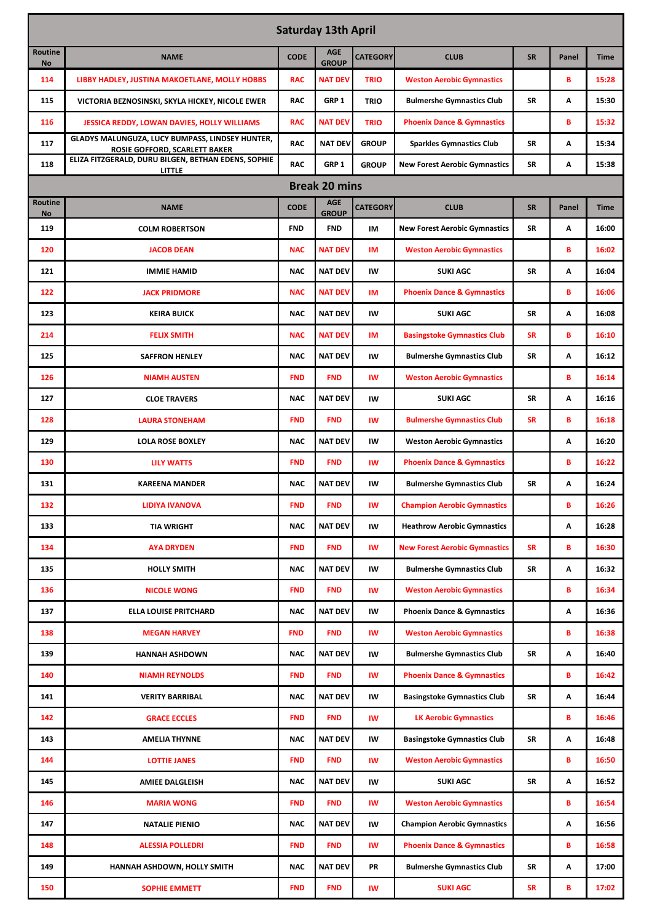| <b>Saturday 13th April</b> |                                                                                  |             |                            |                        |                                       |           |       |             |  |
|----------------------------|----------------------------------------------------------------------------------|-------------|----------------------------|------------------------|---------------------------------------|-----------|-------|-------------|--|
| <b>Routine</b><br>No       | <b>NAME</b>                                                                      | <b>CODE</b> | <b>AGE</b><br><b>GROUP</b> | <b>CATEGORY</b>        | <b>CLUB</b>                           | <b>SR</b> | Panel | <b>Time</b> |  |
| 114                        | LIBBY HADLEY, JUSTINA MAKOETLANE, MOLLY HOBBS                                    | <b>RAC</b>  | <b>NAT DEV</b>             | <b>TRIO</b>            | <b>Weston Aerobic Gymnastics</b>      |           | В     | 15:28       |  |
| 115                        | VICTORIA BEZNOSINSKI, SKYLA HICKEY, NICOLE EWER                                  | <b>RAC</b>  | GRP <sub>1</sub>           | <b>TRIO</b>            | <b>Bulmershe Gymnastics Club</b>      | <b>SR</b> | Α     | 15:30       |  |
| 116                        | JESSICA REDDY, LOWAN DAVIES, HOLLY WILLIAMS                                      | <b>RAC</b>  | <b>NAT DEV</b>             | <b>TRIO</b>            | <b>Phoenix Dance &amp; Gymnastics</b> |           | в     | 15:32       |  |
| 117                        | GLADYS MALUNGUZA, LUCY BUMPASS, LINDSEY HUNTER,<br>ROSIE GOFFORD, SCARLETT BAKER | <b>RAC</b>  | <b>NAT DEV</b>             | <b>GROUP</b>           | <b>Sparkles Gymnastics Club</b>       | <b>SR</b> | Α     | 15:34       |  |
| 118                        | ELIZA FITZGERALD, DURU BILGEN, BETHAN EDENS, SOPHIE<br><b>LITTLE</b>             | <b>RAC</b>  | GRP <sub>1</sub>           | <b>GROUP</b>           | <b>New Forest Aerobic Gymnastics</b>  | <b>SR</b> | Α     | 15:38       |  |
| <b>Break 20 mins</b>       |                                                                                  |             |                            |                        |                                       |           |       |             |  |
| Routine<br><b>No</b>       | <b>NAME</b>                                                                      | <b>CODE</b> | <b>AGE</b><br><b>GROUP</b> | <b>CATEGORY</b>        | <b>CLUB</b>                           | <b>SR</b> | Panel | <b>Time</b> |  |
| 119                        | <b>COLM ROBERTSON</b>                                                            | <b>FND</b>  | <b>FND</b>                 | IM                     | <b>New Forest Aerobic Gymnastics</b>  | SR        | Α     | 16:00       |  |
| 120                        | <b>JACOB DEAN</b>                                                                | <b>NAC</b>  | <b>NAT DEV</b>             | IM                     | <b>Weston Aerobic Gymnastics</b>      |           | В     | 16:02       |  |
| 121                        | <b>IMMIE HAMID</b>                                                               | <b>NAC</b>  | <b>NAT DEV</b>             | IW                     | <b>SUKI AGC</b>                       | <b>SR</b> | А     | 16:04       |  |
| 122                        | <b>JACK PRIDMORE</b>                                                             | <b>NAC</b>  | <b>NAT DEV</b>             | IM                     | <b>Phoenix Dance &amp; Gymnastics</b> |           | в     | 16:06       |  |
| 123                        | <b>KEIRA BUICK</b>                                                               | <b>NAC</b>  | <b>NAT DEV</b>             | IW                     | <b>SUKI AGC</b>                       | <b>SR</b> | Α     | 16:08       |  |
| 214                        | <b>FELIX SMITH</b>                                                               | <b>NAC</b>  | <b>NAT DEV</b>             | IM                     | <b>Basingstoke Gymnastics Club</b>    | <b>SR</b> | B     | 16:10       |  |
| 125                        | <b>SAFFRON HENLEY</b>                                                            | <b>NAC</b>  | <b>NAT DEV</b>             | IW                     | <b>Bulmershe Gymnastics Club</b>      | <b>SR</b> | А     | 16:12       |  |
| 126                        | <b>NIAMH AUSTEN</b>                                                              | <b>FND</b>  | <b>FND</b>                 | IW                     | <b>Weston Aerobic Gymnastics</b>      |           | B     | 16:14       |  |
| 127                        | <b>CLOE TRAVERS</b>                                                              | <b>NAC</b>  | <b>NAT DEV</b>             | IW                     | <b>SUKI AGC</b>                       | <b>SR</b> | Α     | 16:16       |  |
| 128                        | <b>LAURA STONEHAM</b>                                                            | <b>FND</b>  | <b>FND</b>                 | IW                     | <b>Bulmershe Gymnastics Club</b>      | <b>SR</b> | в     | 16:18       |  |
| 129                        | <b>LOLA ROSE BOXLEY</b>                                                          | <b>NAC</b>  | NAT DEV                    | IW                     | <b>Weston Aerobic Gymnastics</b>      |           | А     | 16:20       |  |
| 130                        | <b>LILY WATTS</b>                                                                | <b>FND</b>  | <b>FND</b>                 | <b>IW</b>              | <b>Phoenix Dance &amp; Gymnastics</b> |           | в     | 16:22       |  |
| 131                        | <b>KAREENA MANDER</b>                                                            | <b>NAC</b>  | <b>NAT DEV</b>             | IW                     | <b>Bulmershe Gymnastics Club</b>      | <b>SR</b> | А     | 16:24       |  |
| 132                        | LIDIYA IVANOVA                                                                   | <b>FND</b>  | <b>FND</b>                 | IW                     | <b>Champion Aerobic Gymnastics</b>    |           | в     | 16:26       |  |
| 133                        | <b>TIA WRIGHT</b>                                                                | <b>NAC</b>  | <b>NAT DEV</b>             | IW                     | <b>Heathrow Aerobic Gymnastics</b>    |           | Α     | 16:28       |  |
| 134                        | <b>AYA DRYDEN</b>                                                                | <b>FND</b>  | <b>FND</b>                 | $\mathsf{I}\mathsf{W}$ | <b>New Forest Aerobic Gymnastics</b>  | <b>SR</b> | В     | 16:30       |  |
| 135                        | <b>HOLLY SMITH</b>                                                               | <b>NAC</b>  | <b>NAT DEV</b>             | IW                     | <b>Bulmershe Gymnastics Club</b>      | <b>SR</b> | Α     | 16:32       |  |
| 136                        | <b>NICOLE WONG</b>                                                               | <b>FND</b>  | <b>FND</b>                 | IW                     | <b>Weston Aerobic Gymnastics</b>      |           | В     | 16:34       |  |
| 137                        | <b>ELLA LOUISE PRITCHARD</b>                                                     | <b>NAC</b>  | <b>NAT DEV</b>             | IW                     | <b>Phoenix Dance &amp; Gymnastics</b> |           | Α     | 16:36       |  |
| 138                        | <b>MEGAN HARVEY</b>                                                              | <b>FND</b>  | <b>FND</b>                 | IW                     | <b>Weston Aerobic Gymnastics</b>      |           | В     | 16:38       |  |
| 139                        | <b>HANNAH ASHDOWN</b>                                                            | <b>NAC</b>  | <b>NAT DEV</b>             | IW                     | <b>Bulmershe Gymnastics Club</b>      | <b>SR</b> | Α     | 16:40       |  |
| 140                        | <b>NIAMH REYNOLDS</b>                                                            | <b>FND</b>  | <b>FND</b>                 | <b>IW</b>              | <b>Phoenix Dance &amp; Gymnastics</b> |           | В     | 16:42       |  |
| 141                        | <b>VERITY BARRIBAL</b>                                                           | <b>NAC</b>  | <b>NAT DEV</b>             | IW                     | <b>Basingstoke Gymnastics Club</b>    | <b>SR</b> | Α     | 16:44       |  |
| 142                        | <b>GRACE ECCLES</b>                                                              | <b>FND</b>  | <b>FND</b>                 | IW                     | <b>LK Aerobic Gymnastics</b>          |           | В     | 16:46       |  |
| 143                        | <b>AMELIA THYNNE</b>                                                             | <b>NAC</b>  | <b>NAT DEV</b>             | IW                     | <b>Basingstoke Gymnastics Club</b>    | SR        | Α     | 16:48       |  |
| 144                        | <b>LOTTIE JANES</b>                                                              | <b>FND</b>  | <b>FND</b>                 | IW                     | <b>Weston Aerobic Gymnastics</b>      |           | В     | 16:50       |  |
| 145                        | <b>AMIEE DALGLEISH</b>                                                           | <b>NAC</b>  | <b>NAT DEV</b>             | IW                     | <b>SUKI AGC</b>                       | SR        | Α     | 16:52       |  |
| 146                        | <b>MARIA WONG</b>                                                                | <b>FND</b>  | <b>FND</b>                 | IW                     | <b>Weston Aerobic Gymnastics</b>      |           | В     | 16:54       |  |
| 147                        | <b>NATALIE PIENIO</b>                                                            | <b>NAC</b>  | <b>NAT DEV</b>             | IW                     | <b>Champion Aerobic Gymnastics</b>    |           | Α     | 16:56       |  |
| 148                        | <b>ALESSIA POLLEDRI</b>                                                          | <b>FND</b>  | <b>FND</b>                 | IW                     | <b>Phoenix Dance &amp; Gymnastics</b> |           | В     | 16:58       |  |
| 149                        | HANNAH ASHDOWN, HOLLY SMITH                                                      | <b>NAC</b>  | NAT DEV                    | PR                     | <b>Bulmershe Gymnastics Club</b>      | <b>SR</b> | Α     | 17:00       |  |
| 150                        | <b>SOPHIE EMMETT</b>                                                             | <b>FND</b>  | <b>FND</b>                 | IW                     | <b>SUKI AGC</b>                       | <b>SR</b> | В     | 17:02       |  |